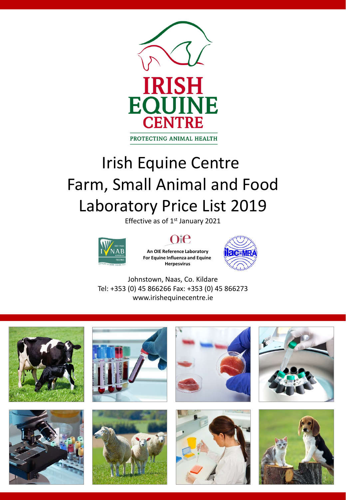

# Irish Equine Centre Farm, Small Animal and Food Laboratory Price List 2019

Effective as of 1st January 2021



### $)$ i $\Theta$

**An OIE Reference Laboratory For Equine Influenza and Equine Herpesvirus**



Johnstown, Naas, Co. Kildare Tel: +353 (0) 45 866266 Fax: +353 (0) 45 866273 www.irishequinecentre.ie















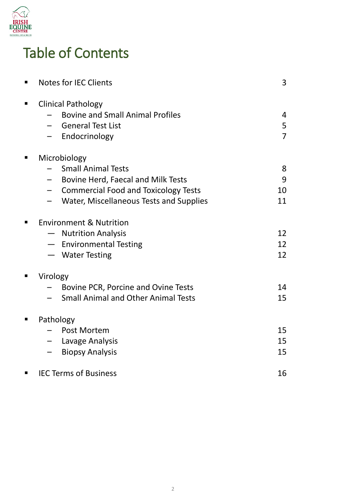

# Table of Contents

|   | <b>Notes for IEC Clients</b>                                                                                                                                                                          | 3                        |
|---|-------------------------------------------------------------------------------------------------------------------------------------------------------------------------------------------------------|--------------------------|
| ■ | <b>Clinical Pathology</b><br><b>Bovine and Small Animal Profiles</b><br><b>General Test List</b><br>$\qquad \qquad -$<br>Endocrinology                                                                | 4<br>5<br>$\overline{7}$ |
|   | Microbiology<br><b>Small Animal Tests</b><br>Bovine Herd, Faecal and Milk Tests<br>$\qquad \qquad -$<br><b>Commercial Food and Toxicology Tests</b><br>$-$<br>Water, Miscellaneous Tests and Supplies | 8<br>9<br>10<br>11       |
|   | <b>Environment &amp; Nutrition</b><br><b>Nutrition Analysis</b><br>- Environmental Testing<br>- Water Testing                                                                                         | 12<br>12<br>12           |
|   | Virology<br>Bovine PCR, Porcine and Ovine Tests<br><b>Small Animal and Other Animal Tests</b>                                                                                                         | 14<br>15                 |
|   | Pathology<br>Post Mortem<br>- Lavage Analysis<br><b>Biopsy Analysis</b>                                                                                                                               | 15<br>15<br>15           |
|   | <b>IEC Terms of Business</b>                                                                                                                                                                          | 16                       |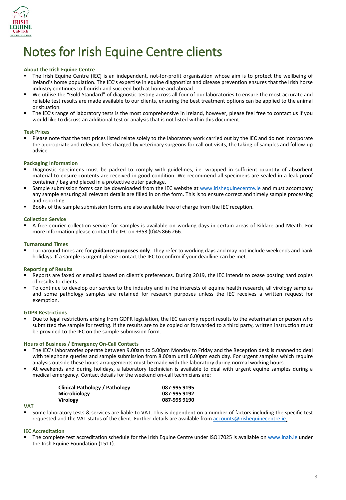

# Notes for Irish Equine Centre clients

### **About the Irish Equine Centre**

- The Irish Equine Centre (IEC) is an independent, not-for-profit organisation whose aim is to protect the wellbeing of Ireland's horse population. The IEC's expertise in equine diagnostics and disease prevention ensures that the Irish horse industry continues to flourish and succeed both at home and abroad.
- We utilise the "Gold Standard" of diagnostic testing across all four of our laboratories to ensure the most accurate and reliable test results are made available to our clients, ensuring the best treatment options can be applied to the animal or situation.
- The IEC's range of laboratory tests is the most comprehensive in Ireland, however, please feel free to contact us if you would like to discuss an additional test or analysis that is not listed within this document.

### **Test Prices**

 Please note that the test prices listed relate solely to the laboratory work carried out by the IEC and do not incorporate the appropriate and relevant fees charged by veterinary surgeons for call out visits, the taking of samples and follow-up advice.

### **Packaging Information**

- Diagnostic specimens must be packed to comply with guidelines, i.e. wrapped in sufficient quantity of absorbent material to ensure contents are received in good condition. We recommend all specimens are sealed in a leak proof container / bag and placed in a protective outer package.
- Sample submission forms can be downloaded from the IEC website at [www.irishequinecentre.ie](http://www.irishequinecentre.ie/) and must accompany any sample ensuring all relevant details are filled in on the form. This is to ensure correct and timely sample processing and reporting.
- Books of the sample submission forms are also available free of charge from the IEC reception.

### **Collection Service**

 A free courier collection service for samples is available on working days in certain areas of Kildare and Meath. For more information please contact the IEC on +353 (0)45 866 266.

### **Turnaround Times**

 Turnaround times are for **guidance purposes only**. They refer to working days and may not include weekends and bank holidays. If a sample is urgent please contact the IEC to confirm if your deadline can be met.

#### **Reporting of Results**

- Reports are faxed or emailed based on client's preferences. During 2019, the IEC intends to cease posting hard copies of results to clients.
- To continue to develop our service to the industry and in the interests of equine health research, all virology samples and some pathology samples are retained for research purposes unless the IEC receives a written request for exemption.

### **GDPR Restrictions**

 Due to legal restrictions arising from GDPR legislation, the IEC can only report results to the veterinarian or person who submitted the sample for testing. If the results are to be copied or forwarded to a third party, written instruction must be provided to the IEC on the sample submission form.

#### **Hours of Business / Emergency On-Call Contacts**

- The IEC's laboratories operate between 9.00am to 5.00pm Monday to Friday and the Reception desk is manned to deal with telephone queries and sample submission from 8.00am until 6.00pm each day. For urgent samples which require analysis outside these hours arrangements must be made with the laboratory during normal working hours.
- At weekends and during holidays, a laboratory technician is available to deal with urgent equine samples during a medical emergency. Contact details for the weekend on-call technicians are:

| <b>Clinical Pathology / Pathology</b> | 087-995 9195 |
|---------------------------------------|--------------|
| Microbiology                          | 087-995 9192 |
| <b>Virology</b>                       | 087-995 9190 |

### **VAT**

 Some laboratory tests & services are liable to VAT. This is dependent on a number of factors including the specific test requested and the VAT status of the client. Further details are available from [accounts@irishequinecentre.ie.](mailto:accounts@irishequinecentre.ie)

### **IEC Accreditation**

The complete test accreditation schedule for the Irish Equine Centre under ISO17025 is available on [www.inab.ie](http://www.inab.ie/) under the Irish Equine Foundation (151T).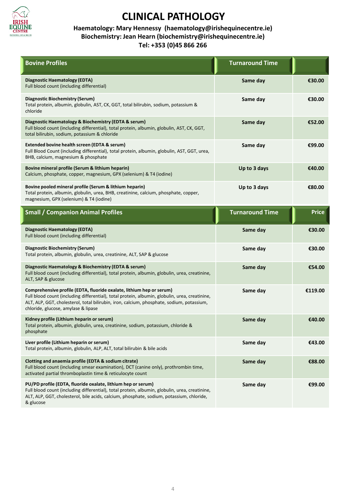

### **Haematology: Mary Hennessy (haematology@irishequinecentre.ie) Biochemistry: Jean Hearn (biochemistry@irishequinecentre.ie) Tel: +353 (0)45 866 266**

| <b>Bovine Profiles</b>                                                                                                                                                                                                                                                                                     | <b>Turnaround Time</b> |              |
|------------------------------------------------------------------------------------------------------------------------------------------------------------------------------------------------------------------------------------------------------------------------------------------------------------|------------------------|--------------|
| Diagnostic Haematology (EDTA)<br>Full blood count (including differential)                                                                                                                                                                                                                                 | Same day               | €30.00       |
| Diagnostic Biochemistry (Serum)<br>Total protein, albumin, globulin, AST, CK, GGT, total bilirubin, sodium, potassium &<br>chloride                                                                                                                                                                        | Same day               | €30.00       |
| Diagnostic Haematology & Biochemistry (EDTA & serum)<br>Full blood count (including differential), total protein, albumin, globulin, AST, CK, GGT,<br>total bilirubin, sodium, potassium & chloride                                                                                                        | Same day               | €52.00       |
| Extended bovine health screen (EDTA & serum)<br>Full Blood Count (including differential), total protein, albumin, globulin, AST, GGT, urea,<br>BHB, calcium, magnesium & phosphate                                                                                                                        | Same day               | €99.00       |
| Bovine mineral profile (Serum & lithium heparin)<br>Calcium, phosphate, copper, magnesium, GPX (selenium) & T4 (iodine)                                                                                                                                                                                    | Up to 3 days           | €40.00       |
| Bovine pooled mineral profile (Serum & lithium heparin)<br>Total protein, albumin, globulin, urea, BHB, creatinine, calcium, phosphate, copper,<br>magnesium, GPX (selenium) & T4 (iodine)                                                                                                                 | Up to 3 days           | €80.00       |
| <b>Small / Companion Animal Profiles</b>                                                                                                                                                                                                                                                                   | <b>Turnaround Time</b> | <b>Price</b> |
| <b>Diagnostic Haematology (EDTA)</b><br>Full blood count (including differential)                                                                                                                                                                                                                          | Same day               | €30.00       |
| Diagnostic Biochemistry (Serum)<br>Total protein, albumin, globulin, urea, creatinine, ALT, SAP & glucose                                                                                                                                                                                                  | Same day               | €30.00       |
| Diagnostic Haematology & Biochemistry (EDTA & serum)<br>Full blood count (including differential), total protein, albumin, globulin, urea, creatinine,<br>ALT, SAP & glucose                                                                                                                               | Same day               | €54.00       |
| Comprehensive profile (EDTA, fluoride oxalate, lithium hep or serum)<br>Full blood count (including differential), total protein, albumin, globulin, urea, creatinine,<br>ALT, ALP, GGT, cholesterol, total bilirubin, iron, calcium, phosphate, sodium, potassium,<br>chloride, glucose, amylase & lipase | Same day               | €119.00      |
| Kidney profile (Lithium heparin or serum)<br>Total protein, albumin, globulin, urea, creatinine, sodium, potassium, chloride &<br>phosphate                                                                                                                                                                | Same day               | €40.00       |
| Liver profile (Lithium heparin or serum)<br>Total protein, albumin, globulin, ALP, ALT, total bilirubin & bile acids                                                                                                                                                                                       | Same day               | €43.00       |
| Clotting and anaemia profile (EDTA & sodium citrate)<br>Full blood count (including smear examination), DCT (canine only), prothrombin time,<br>activated partial thromboplastin time & reticulocyte count                                                                                                 | Same day               | €88.00       |
| PU/PD profile (EDTA, fluoride oxalate, lithium hep or serum)<br>Full blood count (including differential), total protein, albumin, globulin, urea, creatinine,<br>ALT, ALP, GGT, cholesterol, bile acids, calcium, phosphate, sodium, potassium, chloride,<br>& glucose                                    | Same day               | €99.00       |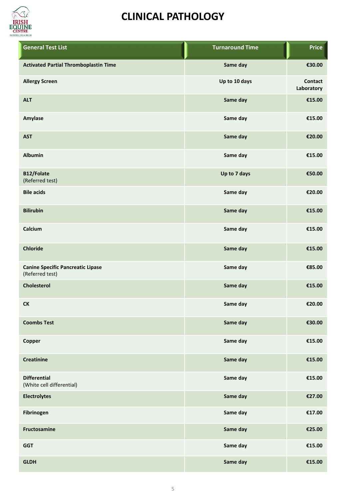

| <b>General Test List</b>                                    | <b>Turnaround Time</b> | <b>Price</b>                 |
|-------------------------------------------------------------|------------------------|------------------------------|
| <b>Activated Partial Thromboplastin Time</b>                | Same day               | €30.00                       |
| <b>Allergy Screen</b>                                       | Up to 10 days          | <b>Contact</b><br>Laboratory |
| <b>ALT</b>                                                  | Same day               | €15.00                       |
| Amylase                                                     | Same day               | €15.00                       |
| <b>AST</b>                                                  | Same day               | €20.00                       |
| <b>Albumin</b>                                              | Same day               | €15.00                       |
| B12/Folate<br>(Referred test)                               | Up to 7 days           | €50.00                       |
| <b>Bile acids</b>                                           | Same day               | €20.00                       |
| <b>Bilirubin</b>                                            | Same day               | €15.00                       |
| Calcium                                                     | Same day               | €15.00                       |
| <b>Chloride</b>                                             | Same day               | €15.00                       |
| <b>Canine Specific Pancreatic Lipase</b><br>(Referred test) | Same day               | €85.00                       |
| <b>Cholesterol</b>                                          | Same day               | €15.00                       |
| <b>CK</b>                                                   | Same day               | €20.00                       |
| <b>Coombs Test</b>                                          | Same day               | €30.00                       |
| Copper                                                      | Same day               | €15.00                       |
| <b>Creatinine</b>                                           | Same day               | €15.00                       |
| <b>Differential</b><br>(White cell differential)            | Same day               | €15.00                       |
| <b>Electrolytes</b>                                         | Same day               | €27.00                       |
| Fibrinogen                                                  | Same day               | €17.00                       |
| Fructosamine                                                | Same day               | €25.00                       |
| <b>GGT</b>                                                  | Same day               | €15.00                       |
| <b>GLDH</b>                                                 | Same day               | €15.00                       |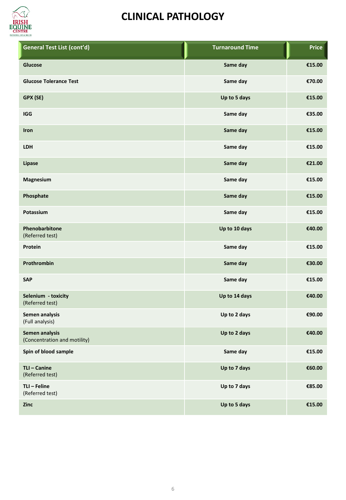

| General Test List (cont'd)                     | <b>Turnaround Time</b> | <b>Price</b> |
|------------------------------------------------|------------------------|--------------|
| Glucose                                        | Same day               | €15.00       |
| <b>Glucose Tolerance Test</b>                  | Same day               | €70.00       |
| GPX (SE)                                       | Up to 5 days           | €15.00       |
| <b>IGG</b>                                     | Same day               | €35.00       |
| Iron                                           | Same day               | €15.00       |
| <b>LDH</b>                                     | Same day               | €15.00       |
| Lipase                                         | Same day               | €21.00       |
| Magnesium                                      | Same day               | €15.00       |
| Phosphate                                      | Same day               | €15.00       |
| Potassium                                      | Same day               | €15.00       |
| Phenobarbitone<br>(Referred test)              | Up to 10 days          | €40.00       |
| Protein                                        | Same day               | €15.00       |
| Prothrombin                                    | Same day               | €30.00       |
| <b>SAP</b>                                     | Same day               | €15.00       |
| Selenium - toxicity<br>(Referred test)         | Up to 14 days          | €40.00       |
| Semen analysis<br>(Full analysis)              | Up to 2 days           | €90.00       |
| Semen analysis<br>(Concentration and motility) | Up to 2 days           | €40.00       |
| Spin of blood sample                           | Same day               | €15.00       |
| TLI - Canine<br>(Referred test)                | Up to 7 days           | €60.00       |
| TLI - Feline<br>(Referred test)                | Up to 7 days           | €85.00       |
| Zinc                                           | Up to 5 days           | €15.00       |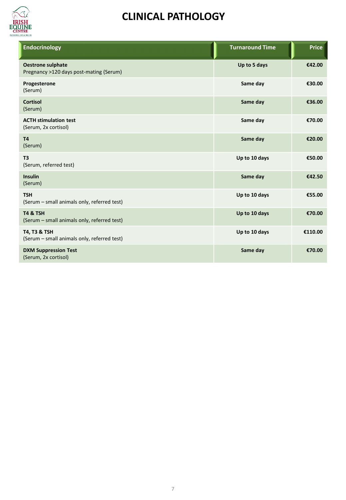

| <b>Endocrinology</b>                                                   | <b>Turnaround Time</b> | <b>Price</b> |
|------------------------------------------------------------------------|------------------------|--------------|
| <b>Oestrone sulphate</b><br>Pregnancy >120 days post-mating (Serum)    | Up to 5 days           | €42.00       |
| Progesterone<br>(Serum)                                                | Same day               | €30.00       |
| <b>Cortisol</b><br>(Serum)                                             | Same day               | €36.00       |
| <b>ACTH stimulation test</b><br>(Serum, 2x cortisol)                   | Same day               | €70.00       |
| <b>T4</b><br>(Serum)                                                   | Same day               | €20.00       |
| T <sub>3</sub><br>(Serum, referred test)                               | Up to 10 days          | €50.00       |
| <b>Insulin</b><br>(Serum)                                              | Same day               | €42.50       |
| <b>TSH</b><br>(Serum - small animals only, referred test)              | Up to 10 days          | €55.00       |
| T4 & TSH<br>(Serum - small animals only, referred test)                | Up to 10 days          | €70.00       |
| <b>T4, T3 &amp; TSH</b><br>(Serum - small animals only, referred test) | Up to 10 days          | €110.00      |
| <b>DXM Suppression Test</b><br>(Serum, 2x cortisol)                    | Same day               | €70.00       |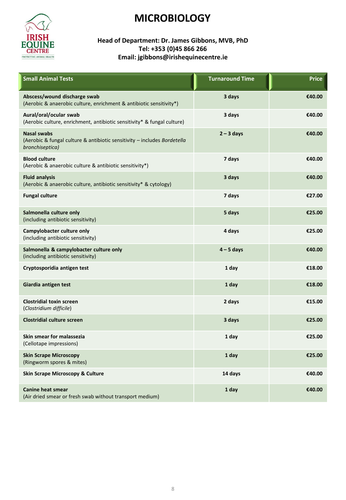

### **Head of Department: Dr. James Gibbons, MVB, PhD Tel: +353 (0)45 866 266 Email: jgibbons@irishequinecentre.ie**

| <b>Small Animal Tests</b>                                                                                         | <b>Turnaround Time</b> | <b>Price</b> |
|-------------------------------------------------------------------------------------------------------------------|------------------------|--------------|
| Abscess/wound discharge swab<br>(Aerobic & anaerobic culture, enrichment & antibiotic sensitivity*)               | 3 days                 | €40.00       |
| Aural/oral/ocular swab<br>(Aerobic culture, enrichment, antibiotic sensitivity* & fungal culture)                 | 3 days                 | €40.00       |
| <b>Nasal swabs</b><br>(Aerobic & fungal culture & antibiotic sensitivity - includes Bordetella<br>bronchiseptica) | $2 - 3$ days           | €40.00       |
| <b>Blood culture</b><br>(Aerobic & anaerobic culture & antibiotic sensitivity*)                                   | 7 days                 | €40.00       |
| <b>Fluid analysis</b><br>(Aerobic & anaerobic culture, antibiotic sensitivity* & cytology)                        | 3 days                 | €40.00       |
| <b>Fungal culture</b>                                                                                             | 7 days                 | €27.00       |
| Salmonella culture only<br>(including antibiotic sensitivity)                                                     | 5 days                 | €25.00       |
| Campylobacter culture only<br>(including antibiotic sensitivity)                                                  | 4 days                 | €25.00       |
| Salmonella & campylobacter culture only<br>(including antibiotic sensitivity)                                     | $4 - 5$ days           | €40.00       |
| Cryptosporidia antigen test                                                                                       | 1 day                  | €18.00       |
| Giardia antigen test                                                                                              | 1 day                  | €18.00       |
| <b>Clostridial toxin screen</b><br>(Clostridium difficile)                                                        | 2 days                 | €15.00       |
| <b>Clostridial culture screen</b>                                                                                 | 3 days                 | €25.00       |
| Skin smear for malassezia<br>(Cellotape impressions)                                                              | 1 day                  | €25.00       |
| <b>Skin Scrape Microscopy</b><br>(Ringworm spores & mites)                                                        | 1 day                  | €25.00       |
| <b>Skin Scrape Microscopy &amp; Culture</b>                                                                       | 14 days                | €40.00       |
| <b>Canine heat smear</b><br>(Air dried smear or fresh swab without transport medium)                              | 1 day                  | €40.00       |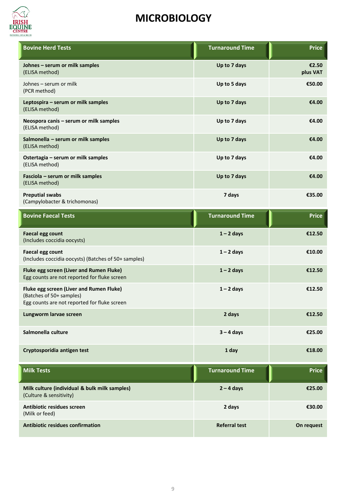

| <b>Bovine Herd Tests</b>                                                                                             | <b>Turnaround Time</b> | <b>Price</b>      |
|----------------------------------------------------------------------------------------------------------------------|------------------------|-------------------|
| Johnes - serum or milk samples<br>(ELISA method)                                                                     | Up to 7 days           | €2.50<br>plus VAT |
| Johnes - serum or milk<br>(PCR method)                                                                               | Up to 5 days           | €50.00            |
| Leptospira - serum or milk samples<br>(ELISA method)                                                                 | Up to 7 days           | €4.00             |
| Neospora canis - serum or milk samples<br>(ELISA method)                                                             | Up to 7 days           | €4.00             |
| Salmonella - serum or milk samples<br>(ELISA method)                                                                 | Up to 7 days           | €4.00             |
| Ostertagia - serum or milk samples<br>(ELISA method)                                                                 | Up to 7 days           | €4.00             |
| Fasciola - serum or milk samples<br>(ELISA method)                                                                   | Up to 7 days           | €4.00             |
| <b>Preputial swabs</b><br>(Campylobacter & trichomonas)                                                              | 7 days                 | €35.00            |
| <b>Bovine Faecal Tests</b>                                                                                           | <b>Turnaround Time</b> | <b>Price</b>      |
| <b>Faecal egg count</b><br>(Includes coccidia oocysts)                                                               | $1 - 2$ days           | €12.50            |
| <b>Faecal egg count</b><br>(Includes coccidia oocysts) (Batches of 50+ samples)                                      | $1 - 2$ days           | €10.00            |
| Fluke egg screen (Liver and Rumen Fluke)<br>Egg counts are not reported for fluke screen                             | $1 - 2$ days           | €12.50            |
| Fluke egg screen (Liver and Rumen Fluke)<br>(Batches of 50+ samples)<br>Egg counts are not reported for fluke screen | $1 - 2$ days           | €12.50            |
| Lungworm larvae screen                                                                                               | 2 days                 | €12.50            |
| Salmonella culture                                                                                                   | $3 - 4$ days           | €25.00            |
| Cryptosporidia antigen test                                                                                          | 1 day                  | €18.00            |
| <b>Milk Tests</b>                                                                                                    | <b>Turnaround Time</b> | <b>Price</b>      |
| Milk culture (individual & bulk milk samples)<br>(Culture & sensitivity)                                             | $2 - 4$ days           | €25.00            |
| <b>Antibiotic residues screen</b><br>(Milk or feed)                                                                  | 2 days                 | €30.00            |
| <b>Antibiotic residues confirmation</b>                                                                              | <b>Referral test</b>   | On request        |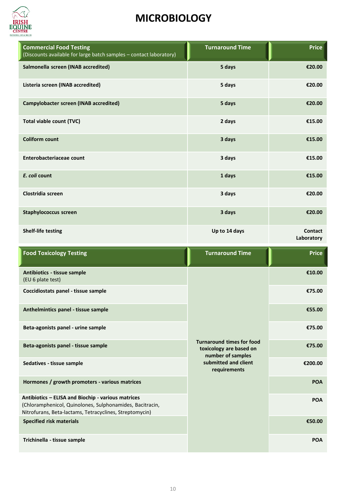

| <b>Commercial Food Testing</b><br>(Discounts available for large batch samples - contact laboratory)                                                                      | <b>Turnaround Time</b>                                      | <b>Price</b>          |
|---------------------------------------------------------------------------------------------------------------------------------------------------------------------------|-------------------------------------------------------------|-----------------------|
| Salmonella screen (INAB accredited)                                                                                                                                       | 5 days                                                      | €20.00                |
| Listeria screen (INAB accredited)                                                                                                                                         | 5 days                                                      | €20.00                |
| Campylobacter screen (INAB accredited)                                                                                                                                    | 5 days                                                      | €20.00                |
| Total viable count (TVC)                                                                                                                                                  | 2 days                                                      | €15.00                |
| <b>Coliform count</b>                                                                                                                                                     | 3 days                                                      | €15.00                |
| Enterobacteriaceae count                                                                                                                                                  | 3 days                                                      | €15.00                |
| E. coli count                                                                                                                                                             | 1 days                                                      | €15.00                |
| Clostridia screen                                                                                                                                                         | 3 days                                                      | €20.00                |
| <b>Staphylococcus screen</b>                                                                                                                                              | 3 days                                                      | €20.00                |
| <b>Shelf-life testing</b>                                                                                                                                                 | Up to 14 days                                               | Contact<br>Laboratory |
|                                                                                                                                                                           |                                                             |                       |
| <b>Food Toxicology Testing</b>                                                                                                                                            | <b>Turnaround Time</b>                                      | <b>Price</b>          |
| Antibiotics - tissue sample<br>(EU 6 plate test)                                                                                                                          |                                                             | €10.00                |
| Coccidiostats panel - tissue sample                                                                                                                                       |                                                             | €75.00                |
| Anthelmintics panel - tissue sample                                                                                                                                       |                                                             | €55.00                |
| Beta-agonists panel - urine sample                                                                                                                                        |                                                             | €75.00                |
| Beta-agonists panel - tissue sample                                                                                                                                       | <b>Turnaround times for food</b><br>toxicology are based on | €75.00                |
| Sedatives - tissue sample                                                                                                                                                 | number of samples<br>submitted and client<br>requirements   | €200.00               |
| Hormones / growth promoters - various matrices                                                                                                                            |                                                             | <b>POA</b>            |
| Antibiotics - ELISA and Biochip - various matrices<br>(Chloramphenicol, Quinolones, Sulphonamides, Bacitracin,<br>Nitrofurans, Beta-lactams, Tetracyclines, Streptomycin) |                                                             | POA                   |
| <b>Specified risk materials</b>                                                                                                                                           |                                                             | €50.00                |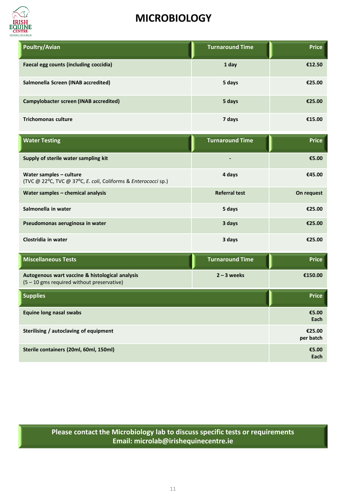

| Poultry/Avian                                 | <b>Turnaround Time</b> | <b>Price</b> |
|-----------------------------------------------|------------------------|--------------|
| <b>Faecal egg counts (including coccidia)</b> | 1 day                  | €12.50       |
| Salmonella Screen (INAB accredited)           | 5 days                 | €25.00       |
| Campylobacter screen (INAB accredited)        | 5 days                 | €25.00       |
| <b>Trichomonas culture</b>                    | 7 days                 | €15.00       |

| <b>Water Testing</b>                                                                          | <b>Turnaround Time</b> | <b>Price</b>        |
|-----------------------------------------------------------------------------------------------|------------------------|---------------------|
| Supply of sterile water sampling kit                                                          |                        | €5.00               |
| Water samples - culture<br>(TVC @ 22°C, TVC @ 37°C, E. coli, Coliforms & Enterococci sp.)     | 4 days                 | €45.00              |
| Water samples - chemical analysis                                                             | <b>Referral test</b>   | On request          |
| Salmonella in water                                                                           | 5 days                 | €25.00              |
| Pseudomonas aeruginosa in water                                                               | 3 days                 | €25.00              |
| Clostridia in water                                                                           | 3 days                 | €25.00              |
| <b>Miscellaneous Tests</b>                                                                    | <b>Turnaround Time</b> | <b>Price</b>        |
| Autogenous wart vaccine & histological analysis<br>(5 - 10 gms required without preservative) | $2 - 3$ weeks          | €150.00             |
| <b>Supplies</b>                                                                               |                        | <b>Price</b>        |
| <b>Equine long nasal swabs</b>                                                                |                        | €5.00<br>Each       |
| Sterilising / autoclaving of equipment                                                        |                        | €25.00<br>per batch |
| Sterile containers (20ml, 60ml, 150ml)                                                        |                        | €5.00<br>Each       |

**Please contact the Microbiology lab to discuss specific tests or requirements Email: microlab@irishequinecentre.ie**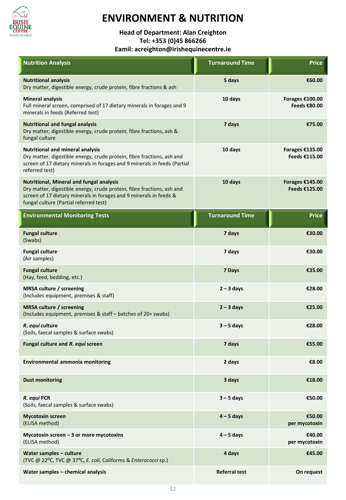

## **ENVIRONMENT & NUTRITION**

**Head of Department: Alan Creighton Tel: +353 (0)45 866266**

**Eamil: acreighton@irishequinecentre.ie**

| <b>Nutrition Analysis</b>                                                                                                                                                                                                                 | <b>Turnaround Time</b> | <b>Price</b>                     |
|-------------------------------------------------------------------------------------------------------------------------------------------------------------------------------------------------------------------------------------------|------------------------|----------------------------------|
| <b>Nutritional analysis</b><br>Dry matter, digestible energy, crude protein, fibre fractions & ash                                                                                                                                        | 5 days                 | €60.00                           |
| <b>Mineral analysis</b><br>Full mineral screen, comprised of 17 dietary minerals in forages and 9<br>minerals in feeds (Referred test)                                                                                                    | 10 days                | Forages €100.00<br>Feeds €80.00  |
| <b>Nutritional and fungal analysis</b><br>Dry matter, digestible energy, crude protein, fibre fractions, ash &<br>fungal culture                                                                                                          | 7 days                 | €75.00                           |
| <b>Nutritional and mineral analysis</b><br>Dry matter, digestible energy, crude protein, fibre fractions, ash and<br>screen of 17 dietary minerals in forages and 9 minerals in feeds (Partial<br>referred test)                          | 10 days                | Forages €135.00<br>Feeds €115.00 |
| <b>Nutritional, Mineral and fungal analysis</b><br>Dry matter, digestible energy, crude protein, fibre fractions, ash and<br>screen of 17 dietary minerals in forages and 9 minerals in feeds &<br>fungal culture (Partial referred test) | 10 days                | Forages €145.00<br>Feeds €125.00 |
| <b>Environmental Monitoring Tests</b>                                                                                                                                                                                                     | <b>Turnaround Time</b> | <b>Price</b>                     |
| <b>Fungal culture</b><br>(Swabs)                                                                                                                                                                                                          | 7 days                 | €30.00                           |
| <b>Fungal culture</b><br>(Air samples)                                                                                                                                                                                                    | 7 days                 | €30.00                           |
| <b>Fungal culture</b><br>(Hay, feed, bedding, etc.)                                                                                                                                                                                       | 7 Days                 | €35.00                           |
| <b>MRSA culture / screening</b><br>(Includes equipment, premises & staff)                                                                                                                                                                 | $2 - 3$ days           | €28.00                           |
| <b>MRSA culture / screening</b><br>(Includes equipment, premises & staff - batches of 20+ swabs)                                                                                                                                          | $2 - 3$ days           | €25.00                           |
| R. equi culture<br>(Soils, faecal samples & surface swabs)                                                                                                                                                                                | $3 - 5$ days           | €28.00                           |
| Fungal culture and R. equi screen                                                                                                                                                                                                         | 7 days                 | €55.00                           |
| Environmental ammonia monitoring                                                                                                                                                                                                          | 2 days                 | €8.00                            |
| <b>Dust monitoring</b>                                                                                                                                                                                                                    | 3 days                 | €18.00                           |
| R. equi PCR<br>(Soils, faecal samples & surface swabs)                                                                                                                                                                                    | $3 - 5$ days           | €50.00                           |
| <b>Mycotoxin screen</b><br>(ELISA method)                                                                                                                                                                                                 | $4 - 5$ days           | €50.00<br>per mycotoxin          |
| Mycotoxin screen $-3$ or more mycotoxins<br>(ELISA method)                                                                                                                                                                                | $4 - 5$ days           | €40.00<br>per mycotoxin          |
| Water samples - culture<br>(TVC @ 22°C, TVC @ 37°C, E. coli, Coliforms & Enterococci sp.)                                                                                                                                                 | 4 days                 | €45.00                           |
| Water samples - chemical analysis                                                                                                                                                                                                         | <b>Referral test</b>   | On request                       |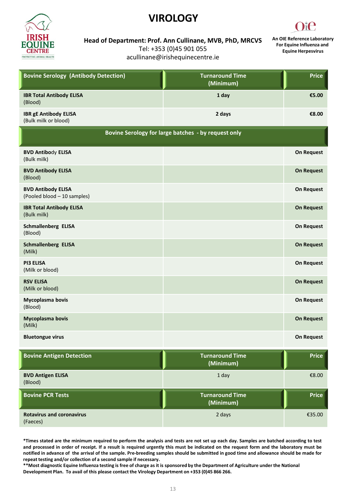### **VIROLOGY**



**Head of Department: Prof. Ann Cullinane, MVB, PhD, MRCVS**

Tel: +353 (0)45 901 055

acullinane@irishequinecentre.ie

**An OIE Reference Laboratory For Equine Influenza and Equine Herpesvirus**

| <b>Bovine Serology (Antibody Detection)</b>              | <b>Turnaround Time</b><br>(Minimum) | <b>Price</b>      |
|----------------------------------------------------------|-------------------------------------|-------------------|
| <b>IBR Total Antibody ELISA</b><br>(Blood)               | 1 day                               | €5.00             |
| <b>IBR gE Antibody ELISA</b><br>(Bulk milk or blood)     | 2 days                              | €8.00             |
| Bovine Serology for large batches - by request only      |                                     |                   |
| <b>BVD Antibody ELISA</b><br>(Bulk milk)                 |                                     | <b>On Request</b> |
| <b>BVD Antibody ELISA</b><br>(Blood)                     |                                     | <b>On Request</b> |
| <b>BVD Antibody ELISA</b><br>(Pooled blood - 10 samples) |                                     | <b>On Request</b> |
| <b>IBR Total Antibody ELISA</b><br>(Bulk milk)           |                                     | <b>On Request</b> |
| <b>Schmallenberg ELISA</b><br>(Blood)                    |                                     | <b>On Request</b> |
| <b>Schmallenberg ELISA</b><br>(Milk)                     |                                     | <b>On Request</b> |
| <b>PI3 ELISA</b><br>(Milk or blood)                      |                                     | <b>On Request</b> |
| <b>RSV ELISA</b><br>(Milk or blood)                      |                                     | <b>On Request</b> |
| Mycoplasma bovis<br>(Blood)                              |                                     | <b>On Request</b> |
| Mycoplasma bovis<br>(Milk)                               |                                     | <b>On Request</b> |
| <b>Bluetongue virus</b>                                  |                                     | <b>On Request</b> |
| <b>Bovine Antigen Detection</b>                          | <b>Turnaround Time</b><br>(Minimum) | Price             |
| <b>BVD Antigen ELISA</b><br>(Blood)                      | 1 day                               | €8.00             |
| <b>Bovine PCR Tests</b>                                  | <b>Turnaround Time</b><br>(Minimum) | <b>Price</b>      |
| <b>Rotavirus and coronavirus</b><br>(Faeces)             | 2 days                              | €35.00            |

\*Times stated are the minimum required to perform the analysis and tests are not set up each day. Samples are batched according to test and processed in order of receipt. If a result is required urgently this must be indicated on the request form and the laboratory must be notified in advance of the arrival of the sample. Pre-breeding samples should be submitted in good time and allowance should be made for **repeat testing and/or collection of a second sample if necessary.**

**\*\*Most diagnostic Equine Influenza testing is free of charge as it is sponsored by the Department of Agriculture under the National Development Plan. To avail of this please contact the Virology Department on +353 (0)45 866 266.**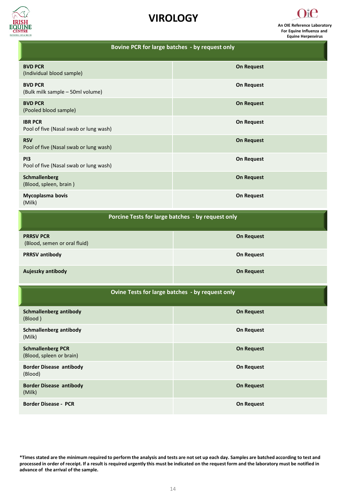





| Bovine PCR for large batches - by request only            |                   |  |
|-----------------------------------------------------------|-------------------|--|
| <b>BVD PCR</b><br>(Individual blood sample)               | <b>On Request</b> |  |
| <b>BVD PCR</b><br>(Bulk milk sample - 50ml volume)        | <b>On Request</b> |  |
| <b>BVD PCR</b><br>(Pooled blood sample)                   | <b>On Request</b> |  |
| <b>IBR PCR</b><br>Pool of five (Nasal swab or lung wash)  | <b>On Request</b> |  |
| <b>RSV</b><br>Pool of five (Nasal swab or lung wash)      | <b>On Request</b> |  |
| P <sub>13</sub><br>Pool of five (Nasal swab or lung wash) | <b>On Request</b> |  |
| Schmallenberg<br>(Blood, spleen, brain)                   | <b>On Request</b> |  |
| Mycoplasma bovis<br>(Milk)                                | <b>On Request</b> |  |
| Porcine Tests for large batches - by request only         |                   |  |
|                                                           |                   |  |

| <b>PRRSV PCR</b><br>(Blood, semen or oral fluid) | <b>On Request</b> |
|--------------------------------------------------|-------------------|
| <b>PRRSV</b> antibody                            | On Request        |
| Aujeszky antibody                                | On Request        |

| Ovine Tests for large batches - by request only |  |
|-------------------------------------------------|--|
|-------------------------------------------------|--|

| Schmallenberg antibody<br>(Blood)                    | <b>On Request</b> |
|------------------------------------------------------|-------------------|
| Schmallenberg antibody<br>(Milk)                     | On Request        |
| <b>Schmallenberg PCR</b><br>(Blood, spleen or brain) | <b>On Request</b> |
| <b>Border Disease antibody</b><br>(Blood)            | On Request        |
| <b>Border Disease antibody</b><br>(Milk)             | <b>On Request</b> |
| <b>Border Disease - PCR</b>                          | <b>On Request</b> |

**\*Times stated are the minimum required to perform the analysis and tests are not set up each day. Samples are batched according to test and processed in order of receipt. If a result is required urgently this must be indicated on the request form and the laboratory must be notified in advance of the arrival of the sample.**